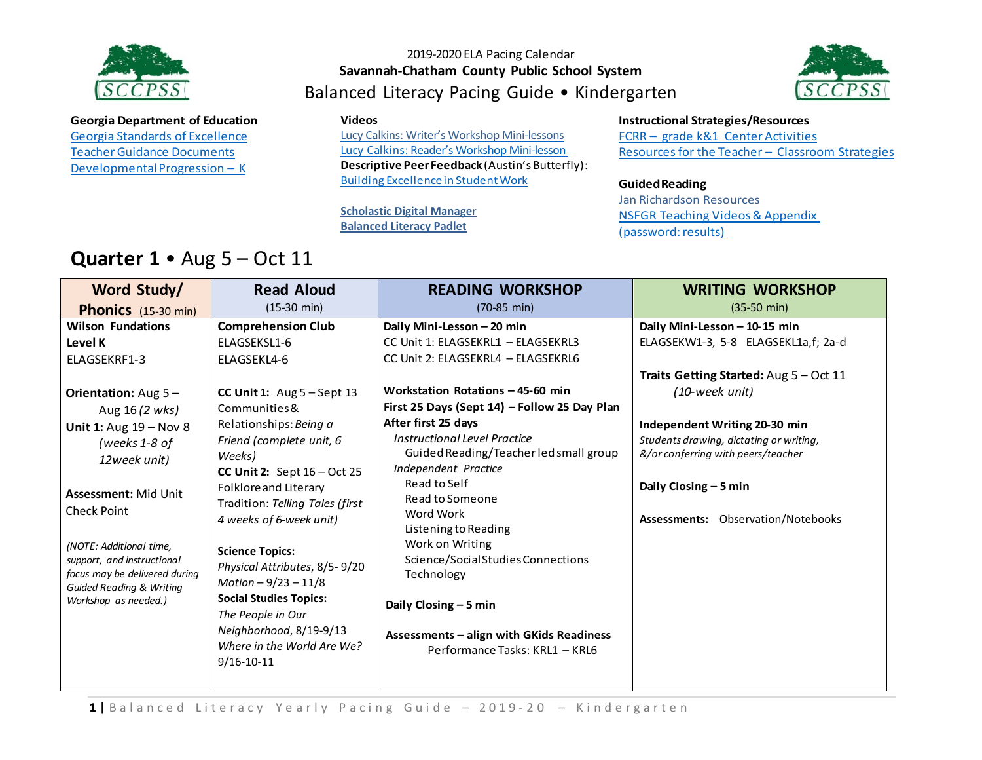

**Georgia Department of Education** Georgia Standards of [Excellence](https://drive.google.com/open?id=0ByacPIqPkdVwdTdpMHdNYS15UFk) Teacher Guidance Documents Developmental Progression – K

### 2019-2020 ELA Pacing Calendar **Savannah-Chatham County Public School System** Balanced Literacy Pacing Guide • Kindergarten



#### **Videos**

[Lucy Calkins: Writer's Workshop Mini-lessons](https://www.youtube.com/watch?v=zPRM2ZXyrS0&list=PLb5RXypPqP5sNAYNUDEfwaq2QYPauhCcc) Lucy Calkins: Reader's Workshop Mini-lesson **Descriptive Peer Feedback** (Austin's Butterfly): Building [ExcellenceinStudentWork](https://vimeo.com/38247060)

**[Scholastic Digital Manage](https://digital.scholastic.com/#/signin)**r **[Balanced Literacy Padlet](https://padlet.com/janet_junco/p9tlqzh52l56)**

#### **Instructional Strategies/Resources**

FCRR – grade k&1 Center Activities Resources for the Teacher - [Classroom](http://www.fortheteachers.org/instructional_strategies/) Strategies

#### **GuidedReading**

Jan [Richardson](http://www.janrichardsonguidedreading.com/resources-1) Resources NSFGR Teaching Videos& [Appendix](http://www.scholastic.com/NSFresources/) (password: results)

## **Quarter 1** • Aug 5 – Oct 11

| Word Study/                                                                                                                                                                                                                                                             | <b>Read Aloud</b>                                                                                                                                                                                                                                                                                                                                                                                           | <b>READING WORKSHOP</b>                                                                                                                                                                                                                                                                                                                                                     | <b>WRITING WORKSHOP</b>                                                                                                                                                        |
|-------------------------------------------------------------------------------------------------------------------------------------------------------------------------------------------------------------------------------------------------------------------------|-------------------------------------------------------------------------------------------------------------------------------------------------------------------------------------------------------------------------------------------------------------------------------------------------------------------------------------------------------------------------------------------------------------|-----------------------------------------------------------------------------------------------------------------------------------------------------------------------------------------------------------------------------------------------------------------------------------------------------------------------------------------------------------------------------|--------------------------------------------------------------------------------------------------------------------------------------------------------------------------------|
| <b>Phonics</b> (15-30 min)                                                                                                                                                                                                                                              | $(15-30 \text{ min})$                                                                                                                                                                                                                                                                                                                                                                                       | $(70-85 \text{ min})$                                                                                                                                                                                                                                                                                                                                                       | $(35-50 \text{ min})$                                                                                                                                                          |
| <b>Wilson Fundations</b>                                                                                                                                                                                                                                                | <b>Comprehension Club</b>                                                                                                                                                                                                                                                                                                                                                                                   | Daily Mini-Lesson - 20 min                                                                                                                                                                                                                                                                                                                                                  | Daily Mini-Lesson - 10-15 min                                                                                                                                                  |
| Level K                                                                                                                                                                                                                                                                 | ELAGSEKSL1-6                                                                                                                                                                                                                                                                                                                                                                                                | CC Unit 1: ELAGSEKRL1 - ELAGSEKRL3                                                                                                                                                                                                                                                                                                                                          | ELAGSEKW1-3, 5-8 ELAGSEKL1a,f; 2a-d                                                                                                                                            |
| ELAGSEKRF1-3                                                                                                                                                                                                                                                            | ELAGSEKL4-6                                                                                                                                                                                                                                                                                                                                                                                                 | CC Unit 2: ELAGSEKRL4 - ELAGSEKRL6                                                                                                                                                                                                                                                                                                                                          |                                                                                                                                                                                |
|                                                                                                                                                                                                                                                                         |                                                                                                                                                                                                                                                                                                                                                                                                             |                                                                                                                                                                                                                                                                                                                                                                             | Traits Getting Started: Aug 5 - Oct 11                                                                                                                                         |
| <b>Orientation:</b> Aug $5 -$                                                                                                                                                                                                                                           | CC Unit 1: $Aug 5 - Sept 13$                                                                                                                                                                                                                                                                                                                                                                                | Workstation Rotations - 45-60 min                                                                                                                                                                                                                                                                                                                                           | (10-week unit)                                                                                                                                                                 |
| Aug 16 (2 wks)                                                                                                                                                                                                                                                          | Communities &                                                                                                                                                                                                                                                                                                                                                                                               | First 25 Days (Sept 14) – Follow 25 Day Plan                                                                                                                                                                                                                                                                                                                                |                                                                                                                                                                                |
| Unit 1: Aug $19 - Nov 8$<br>(weeks 1-8 of<br>12week unit)<br><b>Assessment: Mid Unit</b><br><b>Check Point</b><br>(NOTE: Additional time,<br>support, and instructional<br>focus may be delivered during<br><b>Guided Reading &amp; Writing</b><br>Workshop as needed.) | Relationships: Being a<br>Friend (complete unit, 6<br>Weeks)<br>CC Unit 2: Sept $16 - Oct$ 25<br>Folklore and Literary<br>Tradition: Telling Tales (first<br>4 weeks of 6-week unit)<br><b>Science Topics:</b><br>Physical Attributes, 8/5-9/20<br>Motion $-9/23 - 11/8$<br><b>Social Studies Topics:</b><br>The People in Our<br>Neighborhood, 8/19-9/13<br>Where in the World Are We?<br>$9/16 - 10 - 11$ | After first 25 days<br>Instructional Level Practice<br>Guided Reading/Teacher led small group<br>Independent Practice<br>Read to Self<br>Read to Someone<br>Word Work<br>Listening to Reading<br>Work on Writing<br>Science/Social Studies Connections<br>Technology<br>Daily Closing - 5 min<br>Assessments - align with GKids Readiness<br>Performance Tasks: KRL1 - KRL6 | Independent Writing 20-30 min<br>Students drawing, dictating or writing,<br>&/or conferring with peers/teacher<br>Daily Closing $-5$ min<br>Assessments: Observation/Notebooks |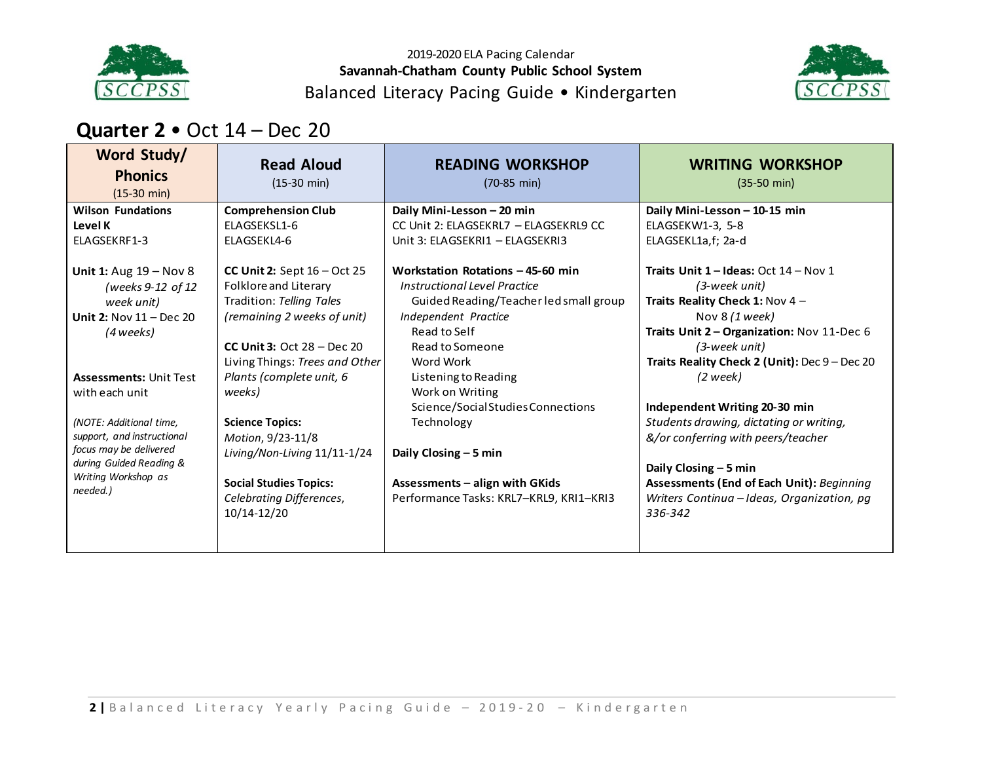

2019-2020 ELA Pacing Calendar **Savannah-Chatham County Public School System** Balanced Literacy Pacing Guide • Kindergarten



## **Quarter 2** • Oct 14 – Dec 20

| Word Study/<br><b>Phonics</b><br>$(15-30 \text{ min})$ | <b>Read Aloud</b><br>$(15-30 \text{ min})$ | <b>READING WORKSHOP</b><br>$(70-85 \text{ min})$ | <b>WRITING WORKSHOP</b><br>$(35-50 \text{ min})$ |
|--------------------------------------------------------|--------------------------------------------|--------------------------------------------------|--------------------------------------------------|
| <b>Wilson Fundations</b>                               | <b>Comprehension Club</b>                  | Daily Mini-Lesson - 20 min                       | Daily Mini-Lesson - 10-15 min                    |
| Level K                                                | ELAGSEKSL1-6                               | CC Unit 2: ELAGSEKRL7 - ELAGSEKRL9 CC            | ELAGSEKW1-3, 5-8                                 |
| ELAGSEKRF1-3                                           | ELAGSEKL4-6                                | Unit 3: ELAGSEKRI1 - ELAGSEKRI3                  | ELAGSEKL1a,f; 2a-d                               |
| Unit 1: Aug $19 - Nov 8$                               | CC Unit 2: Sept $16 - Oct$ 25              | Workstation Rotations - 45-60 min                | Traits Unit $1$ – Ideas: Oct $14$ – Nov 1        |
| (weeks 9-12 of 12                                      | Folklore and Literary                      | Instructional Level Practice                     | (3-week unit)                                    |
| week unit)                                             | Tradition: Telling Tales                   | Guided Reading/Teacher led small group           | Traits Reality Check 1: Nov 4 -                  |
| Unit 2: Nov $11 - Dec 20$                              | (remaining 2 weeks of unit)                | Independent Practice                             | Nov $8(1$ week)                                  |
| (4 weeks)                                              |                                            | Read to Self                                     | Traits Unit 2 - Organization: Nov 11-Dec 6       |
|                                                        | CC Unit 3: Oct $28 - Dec 20$               | Read to Someone                                  | (3-week unit)                                    |
|                                                        | Living Things: Trees and Other             | Word Work                                        | Traits Reality Check 2 (Unit): Dec 9 - Dec 20    |
| <b>Assessments: Unit Test</b>                          | Plants (complete unit, 6                   | Listening to Reading                             | (2 week)                                         |
| with each unit                                         | weeks)                                     | Work on Writing                                  |                                                  |
|                                                        |                                            | Science/Social Studies Connections               | Independent Writing 20-30 min                    |
| (NOTE: Additional time,                                | <b>Science Topics:</b>                     | Technology                                       | Students drawing, dictating or writing,          |
| support, and instructional                             | Motion, 9/23-11/8                          |                                                  | &/or conferring with peers/teacher               |
| focus may be delivered                                 | Living/Non-Living 11/11-1/24               | Daily Closing $-5$ min                           |                                                  |
| during Guided Reading &                                |                                            |                                                  | Daily Closing $-5$ min                           |
| Writing Workshop as<br>needed.)                        | <b>Social Studies Topics:</b>              | Assessments - align with GKids                   | <b>Assessments (End of Each Unit): Beginning</b> |
|                                                        | Celebrating Differences,                   | Performance Tasks: KRL7-KRL9, KRI1-KRI3          | Writers Continua - Ideas, Organization, pg       |
|                                                        | 10/14-12/20                                |                                                  | 336-342                                          |
|                                                        |                                            |                                                  |                                                  |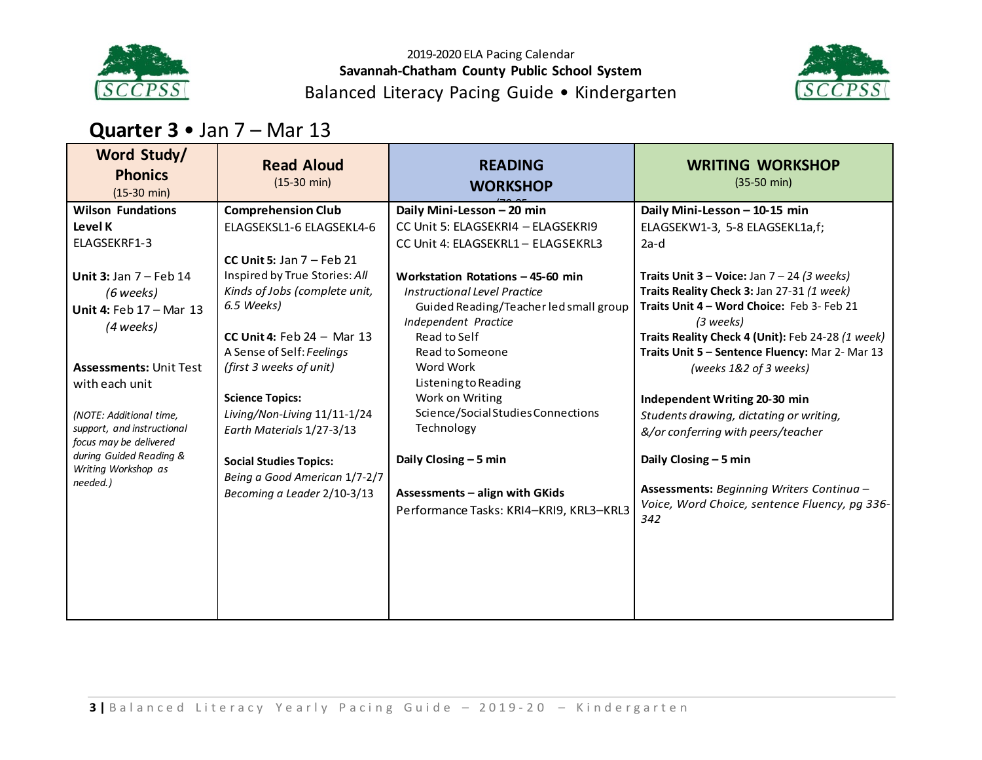

2019-2020 ELA Pacing Calendar **Savannah-Chatham County Public School System** Balanced Literacy Pacing Guide • Kindergarten



### **Quarter 3** • Jan 7 – Mar 13

| Word Study/<br><b>Phonics</b><br>$(15-30 \text{ min})$ | <b>Read Aloud</b><br>$(15-30 \text{ min})$ | <b>READING</b><br><b>WORKSHOP</b>       | <b>WRITING WORKSHOP</b><br>$(35-50 \text{ min})$               |
|--------------------------------------------------------|--------------------------------------------|-----------------------------------------|----------------------------------------------------------------|
| <b>Wilson Fundations</b>                               | <b>Comprehension Club</b>                  | Daily Mini-Lesson - 20 min              | Daily Mini-Lesson - 10-15 min                                  |
| Level K                                                | ELAGSEKSL1-6 ELAGSEKL4-6                   | CC Unit 5: ELAGSEKRI4 - ELAGSEKRI9      | ELAGSEKW1-3, 5-8 ELAGSEKL1a,f;                                 |
| ELAGSEKRF1-3                                           |                                            | CC Unit 4: ELAGSEKRL1 - ELAGSEKRL3      | $2a-d$                                                         |
|                                                        | CC Unit 5: Jan $7$ – Feb 21                |                                         |                                                                |
| Unit 3: Jan $7$ – Feb 14                               | Inspired by True Stories: All              | Workstation Rotations - 45-60 min       | <b>Traits Unit 3 – Voice:</b> Jan $7 - 24$ (3 weeks)           |
| (6 weeks)                                              | Kinds of Jobs (complete unit,              | Instructional Level Practice            | Traits Reality Check 3: Jan 27-31 (1 week)                     |
| Unit 4: Feb $17 -$ Mar $13$                            | 6.5 Weeks)                                 | Guided Reading/Teacher led small group  | Traits Unit 4 - Word Choice: Feb 3- Feb 21                     |
| (4 weeks)                                              | CC Unit 4: Feb $24 -$ Mar 13               | Independent Practice<br>Read to Self    | (3 weeks)<br>Traits Reality Check 4 (Unit): Feb 24-28 (1 week) |
|                                                        | A Sense of Self: Feelings                  | Read to Someone                         | Traits Unit 5 - Sentence Fluency: Mar 2- Mar 13                |
| <b>Assessments: Unit Test</b>                          | (first 3 weeks of unit)                    | Word Work                               | (weeks 1&2 of 3 weeks)                                         |
| with each unit                                         |                                            | Listening to Reading                    |                                                                |
|                                                        | <b>Science Topics:</b>                     | Work on Writing                         | Independent Writing 20-30 min                                  |
| (NOTE: Additional time,                                | Living/Non-Living 11/11-1/24               | Science/Social Studies Connections      | Students drawing, dictating or writing,                        |
| support, and instructional<br>focus may be delivered   | Earth Materials 1/27-3/13                  | Technology                              | &/or conferring with peers/teacher                             |
| during Guided Reading &                                | <b>Social Studies Topics:</b>              | Daily Closing - 5 min                   | Daily Closing - 5 min                                          |
| Writing Workshop as                                    | Being a Good American 1/7-2/7              |                                         |                                                                |
| needed.)                                               | Becoming a Leader 2/10-3/13                | <b>Assessments - align with GKids</b>   | Assessments: Beginning Writers Continua -                      |
|                                                        |                                            | Performance Tasks: KRI4-KRI9, KRL3-KRL3 | Voice, Word Choice, sentence Fluency, pg 336-<br>342           |
|                                                        |                                            |                                         |                                                                |
|                                                        |                                            |                                         |                                                                |
|                                                        |                                            |                                         |                                                                |
|                                                        |                                            |                                         |                                                                |
|                                                        |                                            |                                         |                                                                |